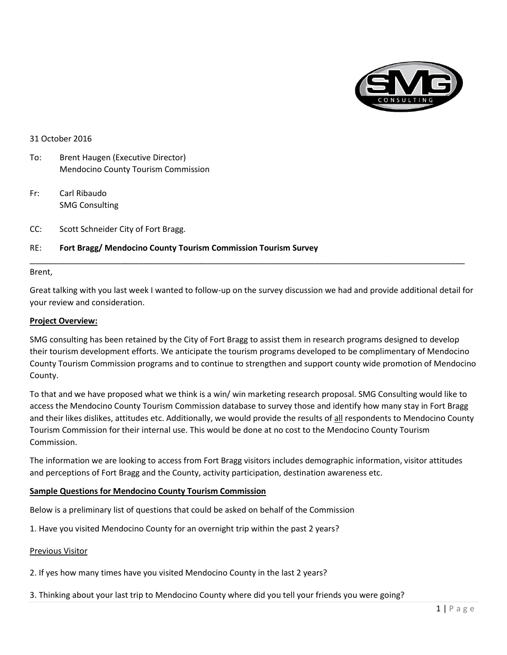

### 31 October 2016

- To: Brent Haugen (Executive Director) Mendocino County Tourism Commission
- Fr: Carl Ribaudo SMG Consulting
- CC: Scott Schneider City of Fort Bragg.

# RE: **Fort Bragg/ Mendocino County Tourism Commission Tourism Survey**

### Brent,

Great talking with you last week I wanted to follow-up on the survey discussion we had and provide additional detail for your review and consideration.

\_\_\_\_\_\_\_\_\_\_\_\_\_\_\_\_\_\_\_\_\_\_\_\_\_\_\_\_\_\_\_\_\_\_\_\_\_\_\_\_\_\_\_\_\_\_\_\_\_\_\_\_\_\_\_\_\_\_\_\_\_\_\_\_\_\_\_\_\_\_\_\_\_\_\_\_\_\_\_\_\_\_\_\_\_\_\_\_\_\_\_\_\_\_\_\_

### **Project Overview:**

SMG consulting has been retained by the City of Fort Bragg to assist them in research programs designed to develop their tourism development efforts. We anticipate the tourism programs developed to be complimentary of Mendocino County Tourism Commission programs and to continue to strengthen and support county wide promotion of Mendocino County.

To that and we have proposed what we think is a win/ win marketing research proposal. SMG Consulting would like to access the Mendocino County Tourism Commission database to survey those and identify how many stay in Fort Bragg and their likes dislikes, attitudes etc. Additionally, we would provide the results of all respondents to Mendocino County Tourism Commission for their internal use. This would be done at no cost to the Mendocino County Tourism Commission.

The information we are looking to access from Fort Bragg visitors includes demographic information, visitor attitudes and perceptions of Fort Bragg and the County, activity participation, destination awareness etc.

# **Sample Questions for Mendocino County Tourism Commission**

Below is a preliminary list of questions that could be asked on behalf of the Commission

1. Have you visited Mendocino County for an overnight trip within the past 2 years?

# Previous Visitor

2. If yes how many times have you visited Mendocino County in the last 2 years?

3. Thinking about your last trip to Mendocino County where did you tell your friends you were going?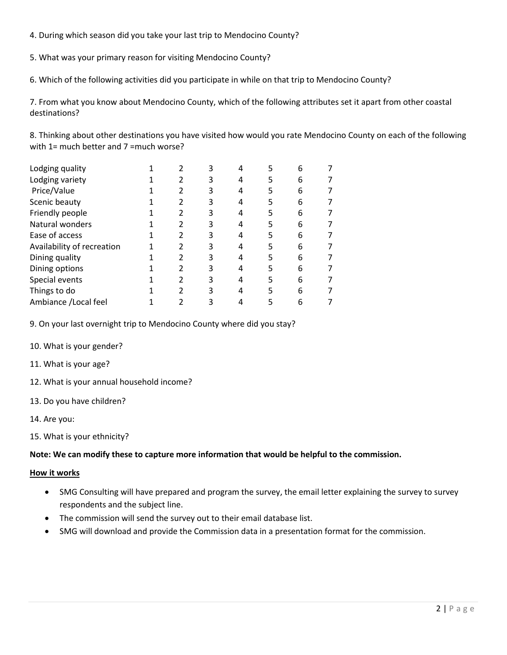4. During which season did you take your last trip to Mendocino County?

5. What was your primary reason for visiting Mendocino County?

6. Which of the following activities did you participate in while on that trip to Mendocino County?

7. From what you know about Mendocino County, which of the following attributes set it apart from other coastal destinations?

8. Thinking about other destinations you have visited how would you rate Mendocino County on each of the following with 1= much better and 7 =much worse?

| Lodging quality            |  | 3 |    | 6 |  |
|----------------------------|--|---|----|---|--|
| Lodging variety            |  | 3 | 5  | 6 |  |
| Price/Value                |  | 3 |    | 6 |  |
| Scenic beauty              |  | 3 |    | 6 |  |
| Friendly people            |  | 3 | 5  | 6 |  |
| Natural wonders            |  | 3 | 5. | 6 |  |
| Ease of access             |  | 3 |    | 6 |  |
| Availability of recreation |  | 3 |    | 6 |  |
| Dining quality             |  | 3 | 5  | 6 |  |
| Dining options             |  | 3 |    | 6 |  |
| Special events             |  | 3 |    | 6 |  |
| Things to do               |  | ੨ | 5  | 6 |  |
| Ambiance / Local feel      |  |   |    | 6 |  |

9. On your last overnight trip to Mendocino County where did you stay?

- 10. What is your gender?
- 11. What is your age?
- 12. What is your annual household income?
- 13. Do you have children?
- 14. Are you:
- 15. What is your ethnicity?

# **Note: We can modify these to capture more information that would be helpful to the commission.**

# **How it works**

- SMG Consulting will have prepared and program the survey, the email letter explaining the survey to survey respondents and the subject line.
- The commission will send the survey out to their email database list.
- SMG will download and provide the Commission data in a presentation format for the commission.